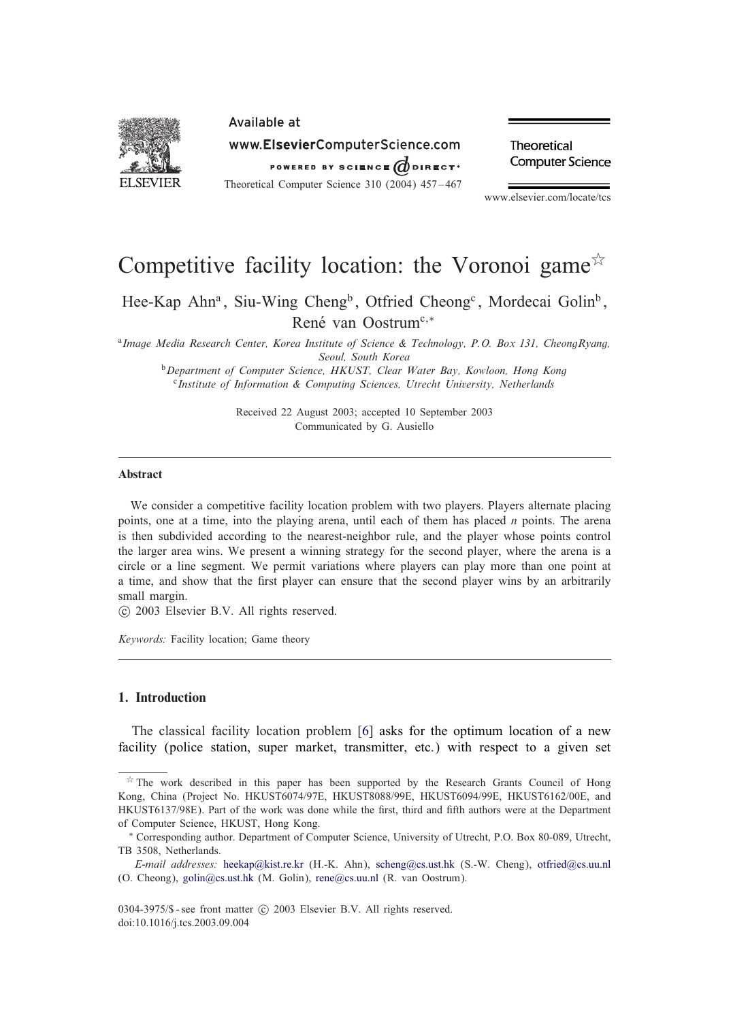

Theoretical **Computer Science** 

www.elsevier.com/locate/tcs

# Competitive facility location: the Voronoi game  $\overline{x}$

Hee-Kap Ahn<sup>a</sup>, Siu-Wing Cheng<sup>b</sup>, Otfried Cheong<sup>c</sup>, Mordecai Golin<sup>b</sup>, René van Oostrum<sup>c,∗</sup>

<sup>a</sup>*Image Media Research Center, Korea Institute of Science & Technology, P.O. Box 131, CheongRyang, Seoul, South Korea*

<sup>b</sup>*Department of Computer Science, HKUST, Clear Water Bay, Kowloon, Hong Kong* <sup>c</sup>*Institute of Information & Computing Sciences, Utrecht University, Netherlands*

> Received 22 August 2003; accepted 10 September 2003 Communicated by G. Ausiello

# Abstract

We consider a competitive facility location problem with two players. Players alternate placing points, one at a time, into the playing arena, until each of them has placed  $n$  points. The arena is then subdivided according to the nearest-neighbor rule, and the player whose points control the larger area wins. We present a winning strategy for the second player, where the arena is a circle or a line segment. We permit variations where players can play more than one point at a time, and show that the first player can ensure that the second player wins by an arbitrarily small margin.

c 2003 Elsevier B.V. All rights reserved.

*Keywords:* Facility location; Game theory

# 1. Introduction

The classical facility location problem [\[6\]](#page-10-0) asks for the optimum location of a new facility (police station, super market, transmitter, etc.) with respect to a given set

 $*$  The work described in this paper has been supported by the Research Grants Council of Hong Kong, China (Project No. HKUST6074/97E, HKUST8088/99E, HKUST6094/99E, HKUST6162/00E, and HKUST6137/98E). Part of the work was done while the first, third and fifth authors were at the Department of Computer Science, HKUST, Hong Kong.

<sup>∗</sup> Corresponding author. Department of Computer Science, University of Utrecht, P.O. Box 80-089, Utrecht, TB 3508, Netherlands.

*E-mail addresses:* [heekap@kist.re.kr](mailto:heekap@kist.re.kr) (H.-K. Ahn), [scheng@cs.ust.hk](mailto:scheng@cs.ust.hk) (S.-W. Cheng), [otfried@cs.uu.nl](mailto:otfried@cs.uu.nl) (O. Cheong), [golin@cs.ust.hk](mailto:golin@cs.ust.hk) (M. Golin), [rene@cs.uu.nl](mailto:rene@cs.uu.nl) (R. van Oostrum).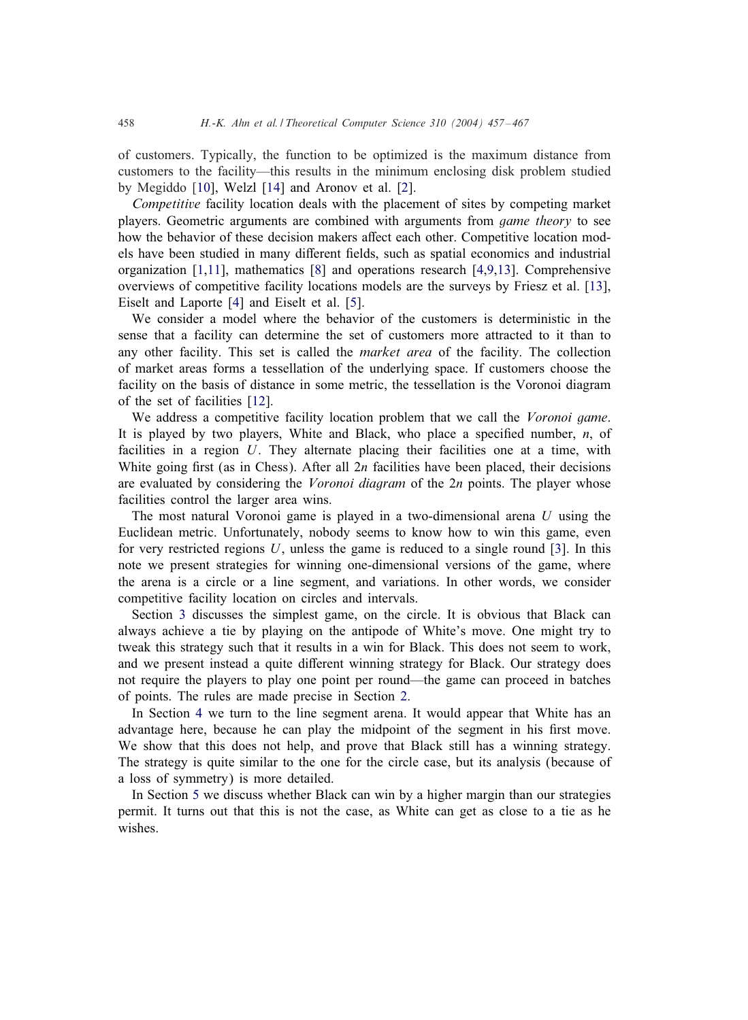of customers. Typically, the function to be optimized is the maximum distance from customers to the facility—this results in the minimum enclosing disk problem studied by Megiddo [\[10\]](#page-10-0), Welzl [\[14\]](#page-10-0) and Aronov et al. [\[2\]](#page-10-0).

*Competitive* facility location deals with the placement of sites by competing market players. Geometric arguments are combined with arguments from *game theory* to see how the behavior of these decision makers affect each other. Competitive location models have been studied in many different fields, such as spatial economics and industrial organization [\[1,11\]](#page-10-0), mathematics [\[8\]](#page-10-0) and operations research [\[4,9,13\]](#page-10-0). Comprehensive overviews of competitive facility locations models are the surveys by Friesz et al. [\[13\]](#page-10-0), Eiselt and Laporte [\[4\]](#page-10-0) and Eiselt et al. [\[5\]](#page-10-0).

We consider a model where the behavior of the customers is deterministic in the sense that a facility can determine the set of customers more attracted to it than to any other facility. This set is called the *market area* of the facility. The collection of market areas forms a tessellation of the underlying space. If customers choose the facility on the basis of distance in some metric, the tessellation is the Voronoi diagram of the set of facilities [\[12\]](#page-10-0).

We address a competitive facility location problem that we call the *Voronoi game*. It is played by two players, White and Black, who place a specified number,  $n$ , of facilities in a region U. They alternate placing their facilities one at a time, with White going first (as in Chess). After all  $2n$  facilities have been placed, their decisions are evaluated by considering the *Voronoi diagram* of the 2n points. The player whose facilities control the larger area wins.

The most natural Voronoi game is played in a two-dimensional arena  $U$  using the Euclidean metric. Unfortunately, nobody seems to know how to win this game, even for very restricted regions  $U$ , unless the game is reduced to a single round [\[3\]](#page-10-0). In this note we present strategies for winning one-dimensional versions of the game, where the arena is a circle or a line segment, and variations. In other words, we consider competitive facility location on circles and intervals.

Section [3](#page-4-0) discusses the simplest game, on the circle. It is obvious that Black can always achieve a tie by playing on the antipode of White's move. One might try to tweak this strategy such that it results in a win for Black. This does not seem to work, and we present instead a quite different winning strategy for Black. Our strategy does not require the players to play one point per round—the game can proceed in batches of points. The rules are made precise in Section [2.](#page-2-0)

In Section [4](#page-6-0) we turn to the line segment arena. It would appear that White has an advantage here, because he can play the midpoint of the segment in his first move. We show that this does not help, and prove that Black still has a winning strategy. The strategy is quite similar to the one for the circle case, but its analysis (because of a loss of symmetry) is more detailed.

In Section [5](#page-9-0) we discuss whether Black can win by a higher margin than our strategies permit. It turns out that this is not the case, as White can get as close to a tie as he wishes.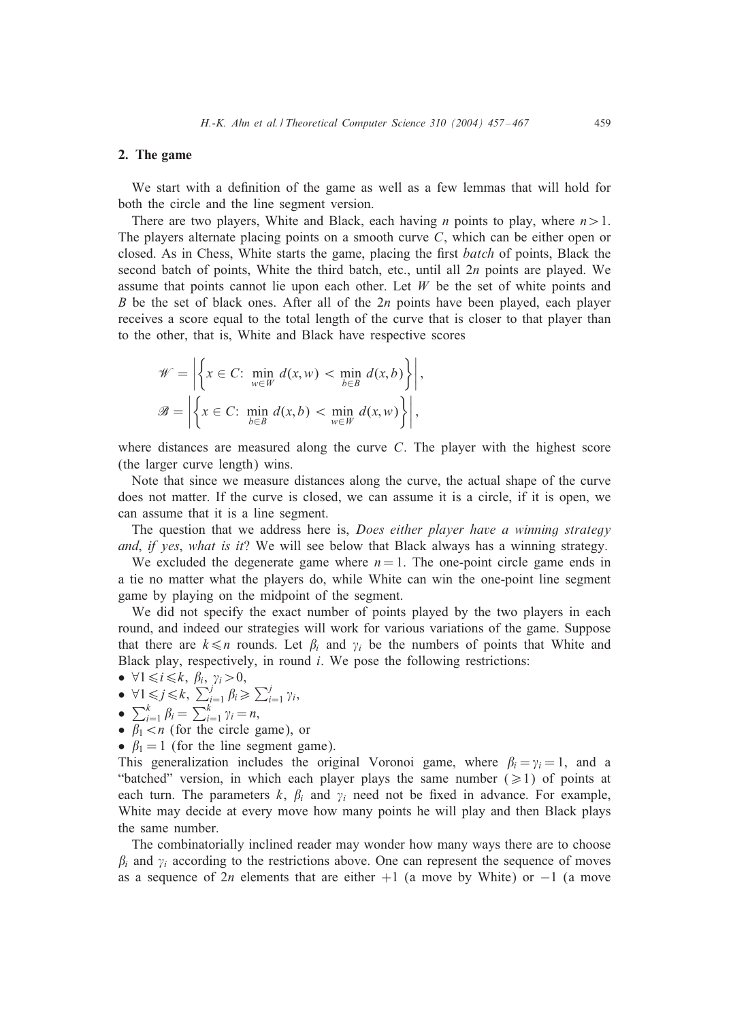#### <span id="page-2-0"></span>2. The game

We start with a definition of the game as well as a few lemmas that will hold for both the circle and the line segment version.

There are two players, White and Black, each having *n* points to play, where  $n > 1$ . The players alternate placing points on a smooth curve  $C$ , which can be either open or closed. As in Chess, White starts the game, placing the 5rst *batch* of points, Black the second batch of points, White the third batch, etc., until all 2n points are played. We assume that points cannot lie upon each other. Let  $W$  be the set of white points and B be the set of black ones. After all of the  $2n$  points have been played, each player receives a score equal to the total length of the curve that is closer to that player than to the other, that is, White and Black have respective scores

$$
\mathscr{W} = \left| \left\{ x \in C: \min_{w \in W} d(x, w) < \min_{b \in B} d(x, b) \right\} \right|,
$$
\n
$$
\mathscr{B} = \left| \left\{ x \in C: \min_{b \in B} d(x, b) < \min_{w \in W} d(x, w) \right\} \right|,
$$

where distances are measured along the curve  $C$ . The player with the highest score (the larger curve length) wins.

Note that since we measure distances along the curve, the actual shape of the curve does not matter. If the curve is closed, we can assume it is a circle, if it is open, we can assume that it is a line segment.

The question that we address here is, *Does either player have a winning strategy and*, *if yes*, *what is it*? We will see below that Black always has a winning strategy.

We excluded the degenerate game where  $n = 1$ . The one-point circle game ends in a tie no matter what the players do, while White can win the one-point line segment game by playing on the midpoint of the segment.

We did not specify the exact number of points played by the two players in each round, and indeed our strategies will work for various variations of the game. Suppose that there are  $k \leq n$  rounds. Let  $\beta_i$  and  $\gamma_i$  be the numbers of points that White and Black play, respectively, in round  $i$ . We pose the following restrictions:

•  $\forall 1 \leq i \leq k, \beta_i, \gamma_i > 0,$ 

• 
$$
\forall 1 \leq j \leq k, \sum_{i=1}^{j} \beta_i \geq \sum_{i=1}^{j} \gamma_i
$$
,

- $\sum_{i=1}^k \beta_i = \sum_{i=1}^k \gamma_i = n,$
- $\beta_1 < n$  (for the circle game), or
- $\beta_1 = 1$  (for the line segment game).

This generalization includes the original Voronoi game, where  $\beta_i = \gamma_i = 1$ , and a "batched" version, in which each player plays the same number ( $\geq 1$ ) of points at each turn. The parameters k,  $\beta_i$  and  $\gamma_i$  need not be fixed in advance. For example, White may decide at every move how many points he will play and then Black plays the same number.

The combinatorially inclined reader may wonder how many ways there are to choose  $\beta_i$  and  $\gamma_i$  according to the restrictions above. One can represent the sequence of moves as a sequence of 2n elements that are either  $+1$  (a move by White) or  $-1$  (a move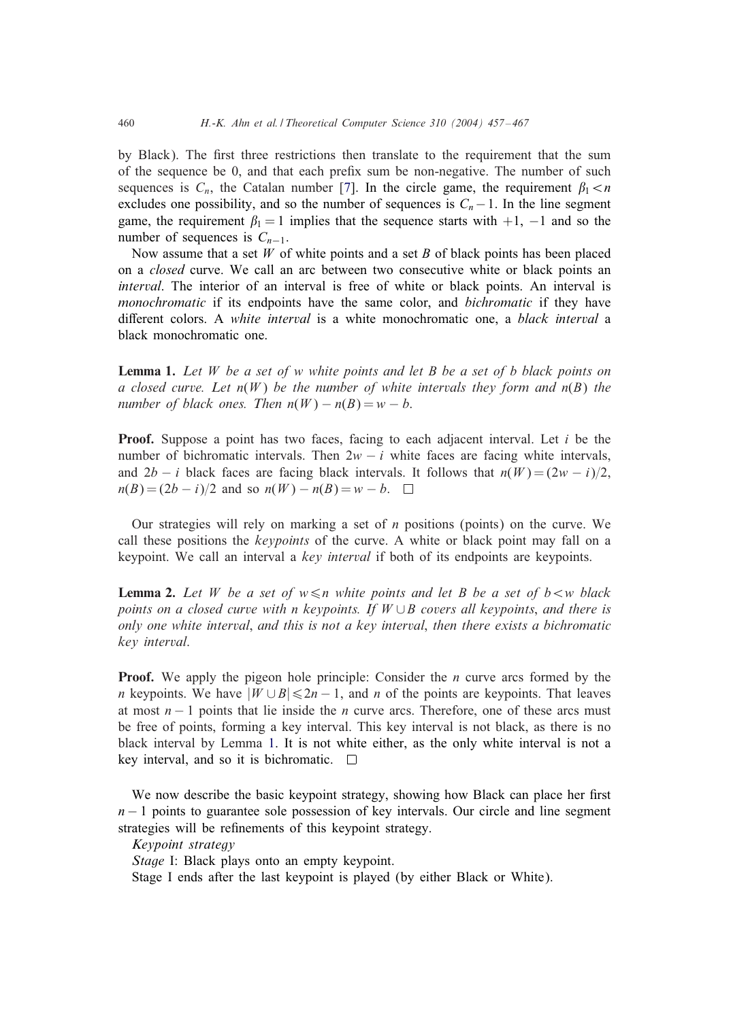<span id="page-3-0"></span>by Black). The first three restrictions then translate to the requirement that the sum of the sequence be 0, and that each prefix sum be non-negative. The number of such sequences is  $C_n$ , the Catalan number [\[7\]](#page-10-0). In the circle game, the requirement  $\beta_1 < n$ excludes one possibility, and so the number of sequences is  $C_n-1$ . In the line segment game, the requirement  $\beta_1 = 1$  implies that the sequence starts with  $+1$ ,  $-1$  and so the number of sequences is  $C_{n-1}$ .

Now assume that a set  $W$  of white points and a set  $B$  of black points has been placed on a *closed* curve. We call an arc between two consecutive white or black points an *interval*. The interior of an interval is free of white or black points. An interval is *monochromatic* if its endpoints have the same color, and *bichromatic* if they have diGerent colors. A *white interval* is a white monochromatic one, a *black interval* a black monochromatic one.

Lemma 1. *Let* W *be a set of* w *white points and let* B *be a set of* b *black points on a* closed curve. Let  $n(W)$  be the number of white intervals they form and  $n(B)$  the *number of black ones. Then*  $n(W) - n(B) = w - b$ .

**Proof.** Suppose a point has two faces, facing to each adjacent interval. Let  $i$  be the number of bichromatic intervals. Then  $2w - i$  white faces are facing white intervals, and  $2b - i$  black faces are facing black intervals. It follows that  $n(W) = (2w - i)/2$ ,  $n(B) = (2b - i)/2$  and so  $n(W) - n(B) = w - b$ .  $\Box$ 

Our strategies will rely on marking a set of  $n$  positions (points) on the curve. We call these positions the *keypoints* of the curve. A white or black point may fall on a keypoint. We call an interval a *key interval* if both of its endpoints are keypoints.

**Lemma 2.** Let W be a set of  $w \le n$  white points and let B be a set of  $b \lt w$  black *points on a closed curve with* n *keypoints. If* W ∪B *covers all keypoints*, *and there is only one white interval*, *and this is not a key interval*, *then there exists a bichromatic key interval*.

**Proof.** We apply the pigeon hole principle: Consider the  $n$  curve arcs formed by the *n* keypoints. We have  $|W \cup B| \le 2n - 1$ , and *n* of the points are keypoints. That leaves at most  $n - 1$  points that lie inside the *n* curve arcs. Therefore, one of these arcs must be free of points, forming a key interval. This key interval is not black, as there is no black interval by Lemma 1. It is not white either, as the only white interval is not a key interval, and so it is bichromatic.  $\square$ 

We now describe the basic keypoint strategy, showing how Black can place her first  $n-1$  points to guarantee sole possession of key intervals. Our circle and line segment strategies will be refinements of this keypoint strategy.

*Keypoint strategy*

*Stage* I: Black plays onto an empty keypoint.

Stage I ends after the last keypoint is played (by either Black or White).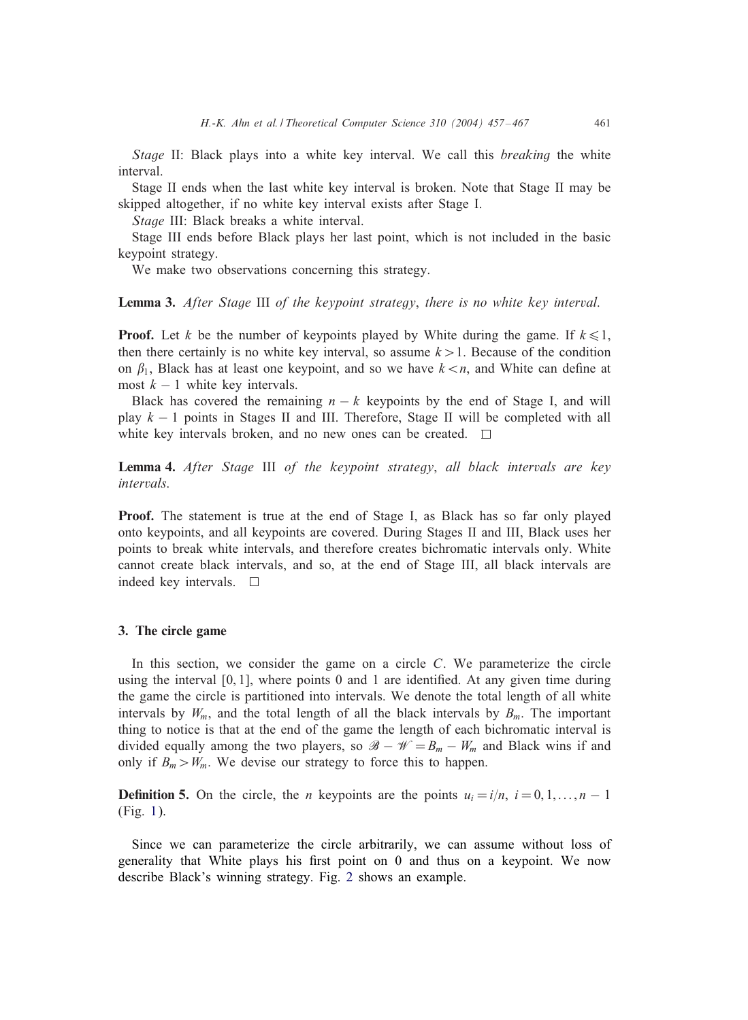<span id="page-4-0"></span>*Stage* II: Black plays into a white key interval. We call this *breaking* the white interval.

Stage II ends when the last white key interval is broken. Note that Stage II may be skipped altogether, if no white key interval exists after Stage I.

*Stage* III: Black breaks a white interval.

Stage III ends before Black plays her last point, which is not included in the basic keypoint strategy.

We make two observations concerning this strategy.

Lemma 3. *After Stage* III *of the keypoint strategy*, *there is no white key interval*.

**Proof.** Let k be the number of keypoints played by White during the game. If  $k \le 1$ , then there certainly is no white key interval, so assume  $k > 1$ . Because of the condition on  $\beta_1$ , Black has at least one keypoint, and so we have  $k < n$ , and White can define at most  $k - 1$  white key intervals.

Black has covered the remaining  $n - k$  keypoints by the end of Stage I, and will play  $k - 1$  points in Stages II and III. Therefore, Stage II will be completed with all white key intervals broken, and no new ones can be created.  $\square$ 

Lemma 4. *After Stage* III *of the keypoint strategy*, *all black intervals are key intervals*.

Proof. The statement is true at the end of Stage I, as Black has so far only played onto keypoints, and all keypoints are covered. During Stages II and III, Black uses her points to break white intervals, and therefore creates bichromatic intervals only. White cannot create black intervals, and so, at the end of Stage III, all black intervals are indeed key intervals.  $\square$ 

## 3. The circle game

In this section, we consider the game on a circle  $C$ . We parameterize the circle using the interval  $[0, 1]$ , where points 0 and 1 are identified. At any given time during the game the circle is partitioned into intervals. We denote the total length of all white intervals by  $W_{m}$ , and the total length of all the black intervals by  $B_{m}$ . The important thing to notice is that at the end of the game the length of each bichromatic interval is divided equally among the two players, so  $\mathscr{B} - \mathscr{W} = B_m - W_m$  and Black wins if and only if  $B_m > W_m$ . We devise our strategy to force this to happen.

**Definition 5.** On the circle, the *n* keypoints are the points  $u_i = i/n$ ,  $i = 0, 1, \ldots, n - 1$ (Fig. [1\)](#page-5-0).

Since we can parameterize the circle arbitrarily, we can assume without loss of generality that White plays his first point on 0 and thus on a keypoint. We now describe Black's winning strategy. Fig. [2](#page-5-0) shows an example.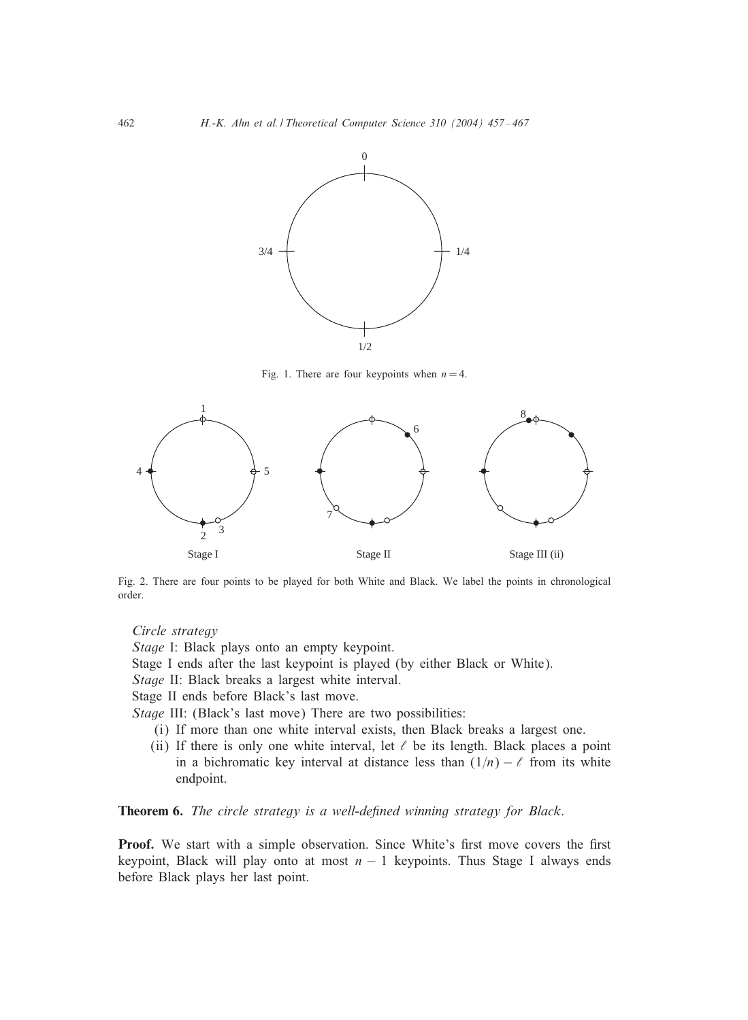<span id="page-5-0"></span>

Fig. 1. There are four keypoints when  $n = 4$ .



Fig. 2. There are four points to be played for both White and Black. We label the points in chronological order.

## *Circle strategy*

*Stage* I: Black plays onto an empty keypoint. Stage I ends after the last keypoint is played (by either Black or White). *Stage* II: Black breaks a largest white interval. Stage II ends before Black's last move. *Stage* III: (Black's last move) There are two possibilities: (i) If more than one white interval exists, then Black breaks a largest one.

(ii) If there is only one white interval, let  $\ell$  be its length. Black places a point in a bichromatic key interval at distance less than  $(1/n) - \ell$  from its white endpoint.

Theorem 6. *The circle strategy is a well-defined winning strategy for Black*.

Proof. We start with a simple observation. Since White's first move covers the first keypoint, Black will play onto at most  $n - 1$  keypoints. Thus Stage I always ends before Black plays her last point.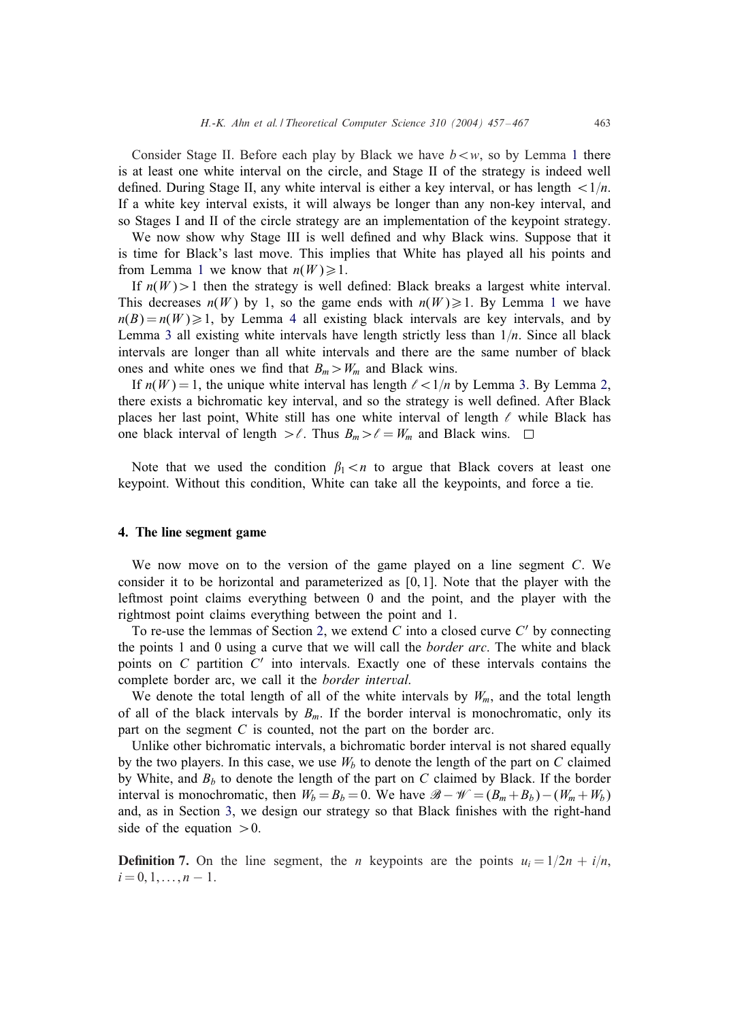<span id="page-6-0"></span>Consider Stage II. Before each play by Black we have  $b \lt w$ , so by Lemma [1](#page-3-0) there is at least one white interval on the circle, and Stage II of the strategy is indeed well defined. During Stage II, any white interval is either a key interval, or has length  $\langle 1/n \rangle$ . If a white key interval exists, it will always be longer than any non-key interval, and so Stages I and II of the circle strategy are an implementation of the keypoint strategy.

We now show why Stage III is well defined and why Black wins. Suppose that it is time for Black's last move. This implies that White has played all his points and from Lemma [1](#page-3-0) we know that  $n(W) \ge 1$ .

If  $n(W) > 1$  then the strategy is well defined: Black breaks a largest white interval. This decreases  $n(W)$  by [1](#page-3-0), so the game ends with  $n(W) \ge 1$ . By Lemma 1 we have  $n(B) = n(W) \ge 1$ , by Lemma [4](#page-4-0) all existing black intervals are key intervals, and by Lemma [3](#page-4-0) all existing white intervals have length strictly less than  $1/n$ . Since all black intervals are longer than all white intervals and there are the same number of black ones and white ones we find that  $B_m > W_m$  and Black wins.

If  $n(W) = 1$ , the unique white interval has length  $\ell \leq 1/n$  by Lemma [3.](#page-4-0) By Lemma [2,](#page-3-0) there exists a bichromatic key interval, and so the strategy is well defined. After Black places her last point, White still has one white interval of length  $\ell$  while Black has one black interval of length  $>\ell$ . Thus  $B_m > \ell = W_m$  and Black wins.  $\Box$ 

Note that we used the condition  $\beta_1 < n$  to argue that Black covers at least one keypoint. Without this condition, White can take all the keypoints, and force a tie.

#### 4. The line segment game

We now move on to the version of the game played on a line segment C. We consider it to be horizontal and parameterized as  $[0, 1]$ . Note that the player with the leftmost point claims everything between 0 and the point, and the player with the rightmost point claims everything between the point and 1.

To re-use the lemmas of Section [2,](#page-2-0) we extend  $C$  into a closed curve  $C'$  by connecting the points 1 and 0 using a curve that we will call the *border arc*. The white and black points on  $C$  partition  $C'$  into intervals. Exactly one of these intervals contains the complete border arc, we call it the *border interval*.

We denote the total length of all of the white intervals by  $W_{m}$ , and the total length of all of the black intervals by  $B_m$ . If the border interval is monochromatic, only its part on the segment  $C$  is counted, not the part on the border arc.

Unlike other bichromatic intervals, a bichromatic border interval is not shared equally by the two players. In this case, we use  $W_b$  to denote the length of the part on C claimed by White, and  $B_b$  to denote the length of the part on C claimed by Black. If the border interval is monochromatic, then  $W_b = B_b = 0$ . We have  $\mathcal{B} - \mathcal{W} = (B_m + B_b) - (W_m + W_b)$ and, as in Section [3,](#page-4-0) we design our strategy so that Black finishes with the right-hand side of the equation  $>0$ .

**Definition 7.** On the line segment, the *n* keypoints are the points  $u_i = 1/2n + i/n$ ,  $i = 0, 1, \ldots, n - 1.$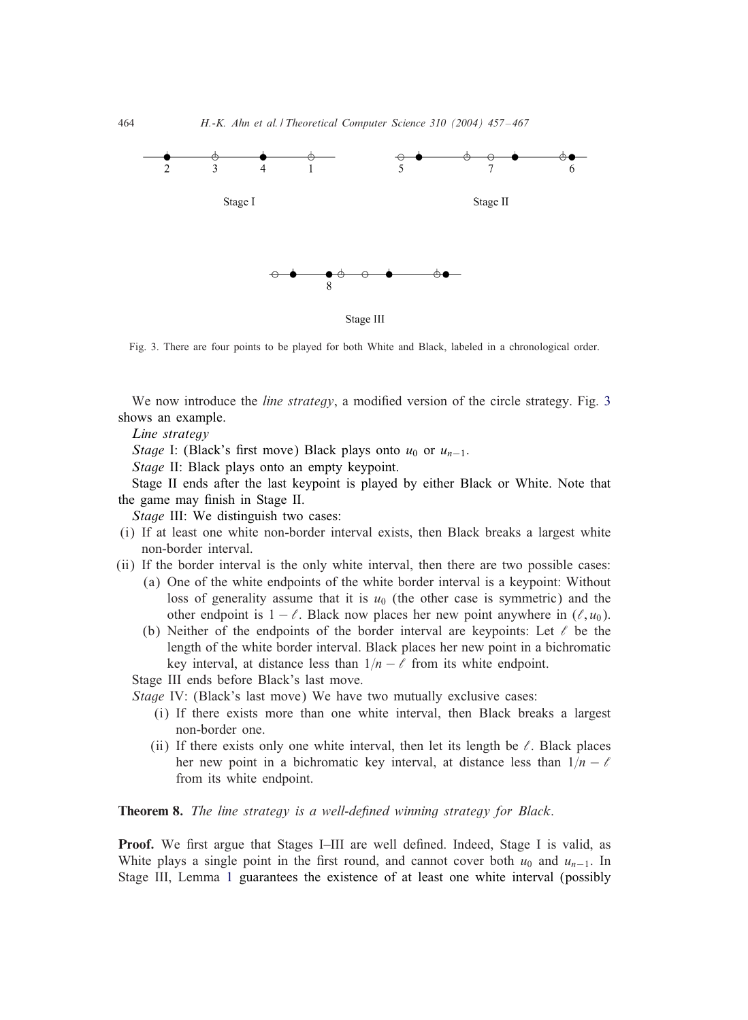

Fig. 3. There are four points to be played for both White and Black, labeled in a chronological order.

We now introduce the *line strategy*, a modified version of the circle strategy. Fig. 3 shows an example.

*Line strategy*

*Stage* I: (Black's first move) Black plays onto  $u_0$  or  $u_{n-1}$ .

*Stage* II: Black plays onto an empty keypoint.

Stage II ends after the last keypoint is played by either Black or White. Note that the game may finish in Stage II.

*Stage* III: We distinguish two cases:

- (i) If at least one white non-border interval exists, then Black breaks a largest white non-border interval.
- (ii) If the border interval is the only white interval, then there are two possible cases:
	- (a) One of the white endpoints of the white border interval is a keypoint: Without loss of generality assume that it is  $u_0$  (the other case is symmetric) and the other endpoint is  $1 - \ell$ . Black now places her new point anywhere in  $(\ell, u_0)$ .
	- (b) Neither of the endpoints of the border interval are keypoints: Let  $\ell$  be the length of the white border interval. Black places her new point in a bichromatic key interval, at distance less than  $1/n - \ell$  from its white endpoint.

Stage III ends before Black's last move.

*Stage* IV: (Black's last move) We have two mutually exclusive cases:

- (i) If there exists more than one white interval, then Black breaks a largest non-border one.
- (ii) If there exists only one white interval, then let its length be  $\ell$ . Black places her new point in a bichromatic key interval, at distance less than  $1/n - \ell$ from its white endpoint.

# **Theorem 8.** *The line strategy is a well-defined winning strategy for Black.*

**Proof.** We first argue that Stages I–III are well defined. Indeed, Stage I is valid, as White plays a single point in the first round, and cannot cover both  $u_0$  and  $u_{n-1}$ . In Stage III, Lemma [1](#page-3-0) guarantees the existence of at least one white interval (possibly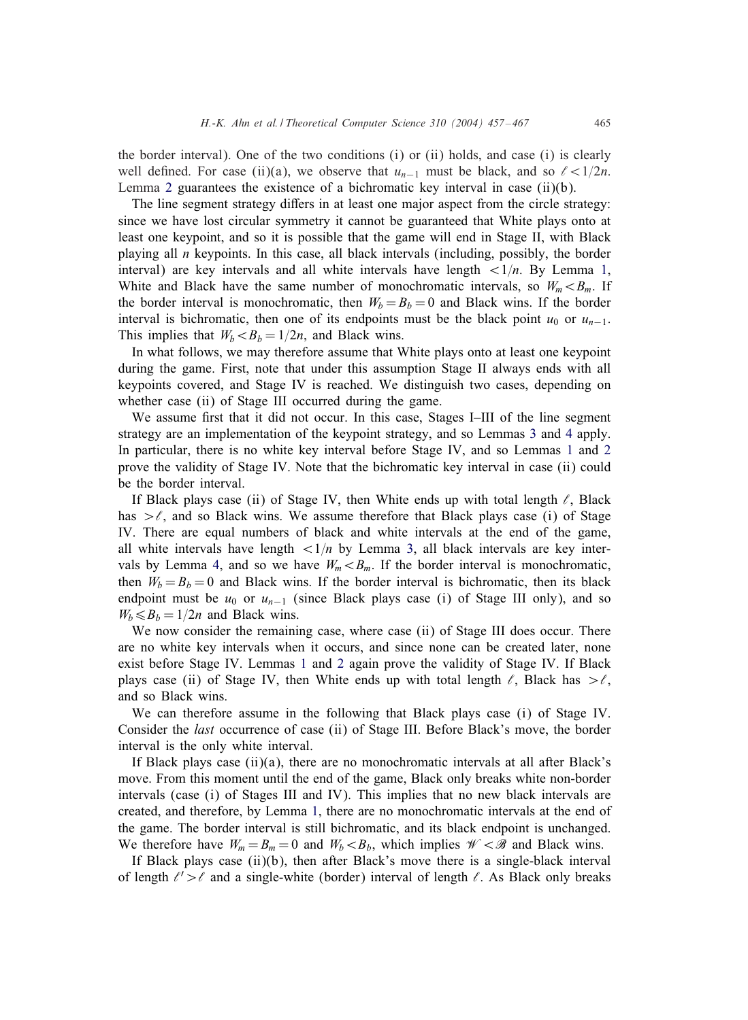the border interval). One of the two conditions (i) or (ii) holds, and case (i) is clearly well defined. For case (ii)(a), we observe that  $u_{n-1}$  must be black, and so  $\ell < 1/2n$ . Lemma [2](#page-3-0) guarantees the existence of a bichromatic key interval in case  $(ii)(b)$ .

The line segment strategy differs in at least one major aspect from the circle strategy: since we have lost circular symmetry it cannot be guaranteed that White plays onto at least one keypoint, and so it is possible that the game will end in Stage II, with Black playing all  $n$  keypoints. In this case, all black intervals (including, possibly, the border interval) are key intervals and all white intervals have length  $\langle 1/n$ . By Lemma [1,](#page-3-0) White and Black have the same number of monochromatic intervals, so  $W_m < B_m$ . If the border interval is monochromatic, then  $W_b = B_b = 0$  and Black wins. If the border interval is bichromatic, then one of its endpoints must be the black point  $u_0$  or  $u_{n-1}$ . This implies that  $W_b < B_b = 1/2n$ , and Black wins.

In what follows, we may therefore assume that White plays onto at least one keypoint during the game. First, note that under this assumption Stage II always ends with all keypoints covered, and Stage IV is reached. We distinguish two cases, depending on whether case (ii) of Stage III occurred during the game.

We assume first that it did not occur. In this case, Stages I–III of the line segment strategy are an implementation of the keypoint strategy, and so Lemmas [3](#page-4-0) and [4](#page-4-0) apply. In particular, there is no white key interval before Stage IV, and so Lemmas [1](#page-3-0) and [2](#page-3-0) prove the validity of Stage IV. Note that the bichromatic key interval in case (ii) could be the border interval.

If Black plays case (ii) of Stage IV, then White ends up with total length  $\ell$ , Black has  $\geq \ell$ , and so Black wins. We assume therefore that Black plays case (i) of Stage IV. There are equal numbers of black and white intervals at the end of the game, all white intervals have length  $\langle 1/n \rangle$  by Lemma [3,](#page-4-0) all black intervals are key inter-vals by Lemma [4,](#page-4-0) and so we have  $W_m < B_m$ . If the border interval is monochromatic, then  $W_b = B_b = 0$  and Black wins. If the border interval is bichromatic, then its black endpoint must be  $u_0$  or  $u_{n-1}$  (since Black plays case (i) of Stage III only), and so  $W_b \le B_b = 1/2n$  and Black wins.

We now consider the remaining case, where case (ii) of Stage III does occur. There are no white key intervals when it occurs, and since none can be created later, none exist before Stage IV. Lemmas [1](#page-3-0) and [2](#page-3-0) again prove the validity of Stage IV. If Black plays case (ii) of Stage IV, then White ends up with total length  $\ell$ , Black has  $>\ell$ , and so Black wins.

We can therefore assume in the following that Black plays case (i) of Stage IV. Consider the *last* occurrence of case (ii) of Stage III. Before Black's move, the border interval is the only white interval.

If Black plays case  $(ii)(a)$ , there are no monochromatic intervals at all after Black's move. From this moment until the end of the game, Black only breaks white non-border intervals (case (i) of Stages III and IV). This implies that no new black intervals are created, and therefore, by Lemma [1,](#page-3-0) there are no monochromatic intervals at the end of the game. The border interval is still bichromatic, and its black endpoint is unchanged. We therefore have  $W_m = B_m = 0$  and  $W_b \lt B_b$ , which implies  $\mathcal{W} \lt \mathcal{B}$  and Black wins.

If Black plays case (ii)(b), then after Black's move there is a single-black interval of length  $\ell' > \ell$  and a single-white (border) interval of length  $\ell$ . As Black only breaks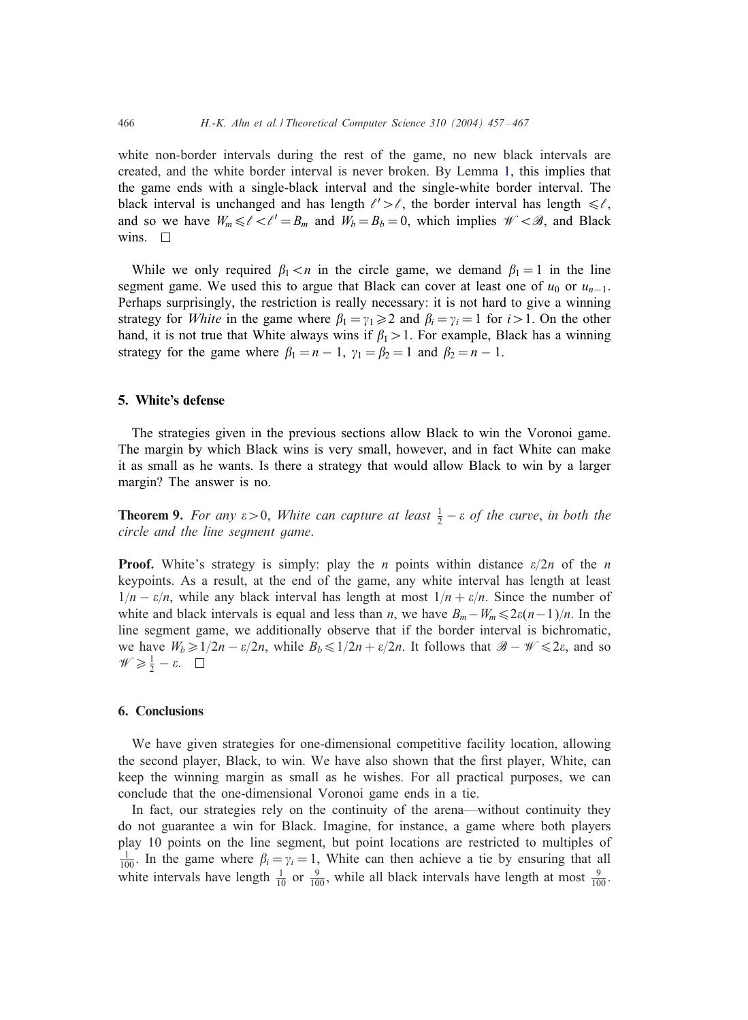white non-border intervals during the rest of the game, no new black intervals are created, and the white border interval is never broken. By Lemma [1,](#page-3-0) this implies that the game ends with a single-black interval and the single-white border interval. The black interval is unchanged and has length  $\ell' > \ell$ , the border interval has length  $\leq \ell$ , and so we have  $W_m \le \ell \le \ell' = B_m$  and  $W_b = B_b = 0$ , which implies  $\mathcal{W} \le \mathcal{B}$ , and Black wins.  $\square$ 

While we only required  $\beta_1 < n$  in the circle game, we demand  $\beta_1 = 1$  in the line segment game. We used this to argue that Black can cover at least one of  $u_0$  or  $u_{n-1}$ . Perhaps surprisingly, the restriction is really necessary: it is not hard to give a winning strategy for *White* in the game where  $\beta_1 = \gamma_1 \geq 2$  and  $\beta_i = \gamma_i = 1$  for  $i > 1$ . On the other hand, it is not true that White always wins if  $\beta_1 > 1$ . For example, Black has a winning strategy for the game where  $\beta_1 = n - 1$ ,  $\gamma_1 = \beta_2 = 1$  and  $\beta_2 = n - 1$ .

# 5. White's defense

The strategies given in the previous sections allow Black to win the Voronoi game. The margin by which Black wins is very small, however, and in fact White can make it as small as he wants. Is there a strategy that would allow Black to win by a larger margin? The answer is no.

**Theorem 9.** For any  $\varepsilon > 0$ , *White can capture at least*  $\frac{1}{2} - \varepsilon$  *of the curve*, *in both the circle and the line segment game*.

**Proof.** White's strategy is simply: play the *n* points within distance  $\varepsilon/2n$  of the *n* keypoints. As a result, at the end of the game, any white interval has length at least  $1/n - \varepsilon/n$ , while any black interval has length at most  $1/n + \varepsilon/n$ . Since the number of white and black intervals is equal and less than *n*, we have  $B_m - W_m \leq 2\varepsilon(n-1)/n$ . In the line segment game, we additionally observe that if the border interval is bichromatic, we have  $W_b \geq 1/2n - \varepsilon/2n$ , while  $B_b \leq 1/2n + \varepsilon/2n$ . It follows that  $\mathcal{B} - \mathcal{W} \leq 2\varepsilon$ , and so  $\mathscr{W} \geqslant \frac{1}{2} - \varepsilon.$ 

# 6. Conclusions

We have given strategies for one-dimensional competitive facility location, allowing the second player, Black, to win. We have also shown that the first player, White, can keep the winning margin as small as he wishes. For all practical purposes, we can conclude that the one-dimensional Voronoi game ends in a tie.

In fact, our strategies rely on the continuity of the arena—without continuity they do not guarantee a win for Black. Imagine, for instance, a game where both players play 10 points on the line segment, but point locations are restricted to multiples of  $\frac{1}{100}$ . In the game where  $\beta_i = \gamma_i = 1$ , White can then achieve a tie by ensuring that all white intervals have length  $\frac{1}{10}$  or  $\frac{9}{100}$ , while all black intervals have length at most  $\frac{9}{100}$ .

<span id="page-9-0"></span>